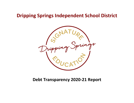# **Dripping Springs Independent School District**



# **Debt Transparency 2020-21 Report**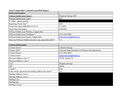## **Texas Comptroller's Annual Local Debt Report**

| <b>Entity Information</b>                                 |                            |
|-----------------------------------------------------------|----------------------------|
| Political Subdivision Name*:                              | Dripping Springs ISD       |
| Political Subdivision Type <sup>*</sup> :                 | <b>ISD</b>                 |
| If "other", please specify                                |                            |
| Reporting Fiscal Year*:                                   | 2021                       |
| Fiscal Year Start (MM/DD/YYYY)*:                          | 7/1/2020                   |
| Fiscal Year End (auto):                                   | 6/30/2021                  |
| Political Subdivision Website, if applicable:             |                            |
| Political Subdivision Telephone*:                         | $(512)$ 858-3006           |
| Political Subdivision Email, if applicable:               | catherine.knepp@dsisdtx.us |
| Does the Political Subdivision have any reportable debt?* | Yes                        |

| <b>Contact Information</b>                              |                                                     |
|---------------------------------------------------------|-----------------------------------------------------|
| Contact Name*:                                          | Catherine Knepp                                     |
| Contact Title*:                                         | Assistant Superintendent for Finance and Operations |
| Contact Phone*:                                         | $(512)$ 858-3006                                    |
| Contact Email:                                          | catherine.knepp@dsisdtx.us                          |
| Physical Address, Line 1 <sup>*</sup> :                 | 510 W. Mercer St.                                   |
| Physical Address, Line 2:                               |                                                     |
| $\text{City*}:$                                         | Dripping Springs                                    |
| Zip*:                                                   | 78620                                               |
| County*:                                                | Hays                                                |
| Is the entity's physical and mailing address the same?* | Yes                                                 |
| Mailing Address, Line 1:                                |                                                     |
| Mailing Address, Line 2:                                |                                                     |
| Mailing City:                                           |                                                     |
| <b>Mailing Zip:</b>                                     |                                                     |
| Mailing County:                                         |                                                     |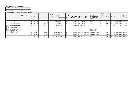#### **Texas Comptroller's Annual Local Debt Report**

| <b>Entity Information (Auto)</b> |                      |
|----------------------------------|----------------------|
| Political Subdivision Name:      | Dripping Springs ISD |
| Reporting Fiscal Year:           | 2021                 |

| Individual Debt Obligations (click column titles for more information) |                                                                           |  |                   |                        |                                                                                                                             |                                                |                                                                  |           |  |                                         |                             |                                                                                       |                                                                                                          |                |     |       |       |                                  |
|------------------------------------------------------------------------|---------------------------------------------------------------------------|--|-------------------|------------------------|-----------------------------------------------------------------------------------------------------------------------------|------------------------------------------------|------------------------------------------------------------------|-----------|--|-----------------------------------------|-----------------------------|---------------------------------------------------------------------------------------|----------------------------------------------------------------------------------------------------------|----------------|-----|-------|-------|----------------------------------|
| Outstanding debt obligation*                                           | If debt is conduit or<br>component debt,<br>enter related entity<br>name: |  | Principal issued* | Principal outstanding* | <b>Combined principal</b><br>and interest required<br>to pay each<br>outstanding debt<br>obligation on time and<br>in full* | <b>Final maturity</b><br>date*<br>(MM/DD/YYYY) | Is the debt<br>secured in<br>any way by<br>ad valorem<br>taxes?* | received* |  | Total proceeds Proceeds<br>$ $ spent*   | <b>Proceeds</b><br>unspent* | <b>Official stated</b><br>purpose for which the<br>debt obligation was<br>authorized* | Is the debt<br>obligation<br>rated by any<br>nationally<br>recognized<br>credit rating<br>organization?* | Moody's S&P    |     | Fitch | Kroll | Other rating<br>applicable)      |
| Unlimited Tax Refunding Bonds, Series<br>2007                          |                                                                           |  |                   | 29,999                 |                                                                                                                             | 350,000 2/15/2022                              | Yes                                                              |           |  | $4,764,999$   \$ $4,764,999$   \$       |                             | Refunding                                                                             | Yes                                                                                                      | Aa2            | AA  |       |       | Not Rated Not Rated AAA: PSF     |
| Unlimited Tax Refunding Bonds, Series<br>2010                          |                                                                           |  | 10,380,000        | $1,675,000$   \$       |                                                                                                                             | 1,708,500 8/15/2021                            | Yes                                                              |           |  | $10,380,000$   \$ 10,380,000   \$       |                             | Refunding                                                                             | Yes                                                                                                      | Not Rated   AA |     |       |       | Not Rated   Not Rated   AAA: PSF |
| Unlimited Tax Refunding Bonds, Series<br>2012A                         |                                                                           |  | 8,805,000         | $1,500,000$   \$       |                                                                                                                             | 1,610,700 8/15/2023                            | Yes                                                              |           |  | $8,805,000$   \$ $8,805,000$   \$       |                             | Refunding                                                                             | Yes                                                                                                      | Not Rated   AA |     |       |       | Not Rated   Not Rated   AAA: PSF |
| Unlimited Tax Refunding Bonds, Series<br>2013                          |                                                                           |  | 15,500,000        | $2,185,000$   \$       |                                                                                                                             | 2,260,350 8/15/2022                            | Yes                                                              |           |  | $15,500,000$   \$ 15,500,000   \$       |                             | Refunding                                                                             | Yes                                                                                                      | Not Rated   AA |     |       |       | Not Rated   Not Rated   AAA: PSF |
| Unlimited Tax School Building &<br>Refunding Bonds, Series 2014        |                                                                           |  |                   |                        | 40,051,250 2/15/2026                                                                                                        |                                                | Yes                                                              |           |  | $$163,475,000 \mid $162,711,046 \mid $$ | 763,954                     | Refunding & School<br>Building & Buses                                                | Yes                                                                                                      | Aa2            | AA  |       |       | Not Rated   Not Rated   AAA: PSF |
| Unlimited Tax School Building &<br>Refunding Bonds, Series 2018        |                                                                           |  |                   | $100,720,000$   \$     | 193,923,250 2/15/2048                                                                                                       |                                                | Yes                                                              |           |  |                                         |                             | $$100,720,000$ \ $$98,456,795$ \ $$2,263,205$ \ School Building & Buses               | Yes                                                                                                      | Aa2            | IAA |       |       | Not Rated   Not Rated   AAA: PSF |
| Unlimited Tax School Building Bonds,<br>Series 2019                    |                                                                           |  | 20,210,000        | $20,210,000$   \$      | 29,648,550 2/15/2044                                                                                                        |                                                | Yes                                                              |           |  |                                         |                             | $\frac{1}{20.210,000}$ School Building & Buses                                        | Yes                                                                                                      | Not Rated   AA |     |       |       | Not Rated   Not Rated   AAA: PSF |
| Unlimited Tax Refunding Bonds,<br>Taxable, Series 2020                 |                                                                           |  |                   |                        | 162,715,699 2/15/2044                                                                                                       |                                                | Yes                                                              |           |  | $$119,254,935 \mid $119,254,935 \mid $$ |                             | Refunding                                                                             | Yes                                                                                                      | Not Rated   AA |     |       |       | Not Rated   Not Rated   AAA: PSF |
|                                                                        |                                                                           |  |                   |                        |                                                                                                                             |                                                |                                                                  |           |  |                                         |                             |                                                                                       |                                                                                                          |                |     |       |       |                                  |